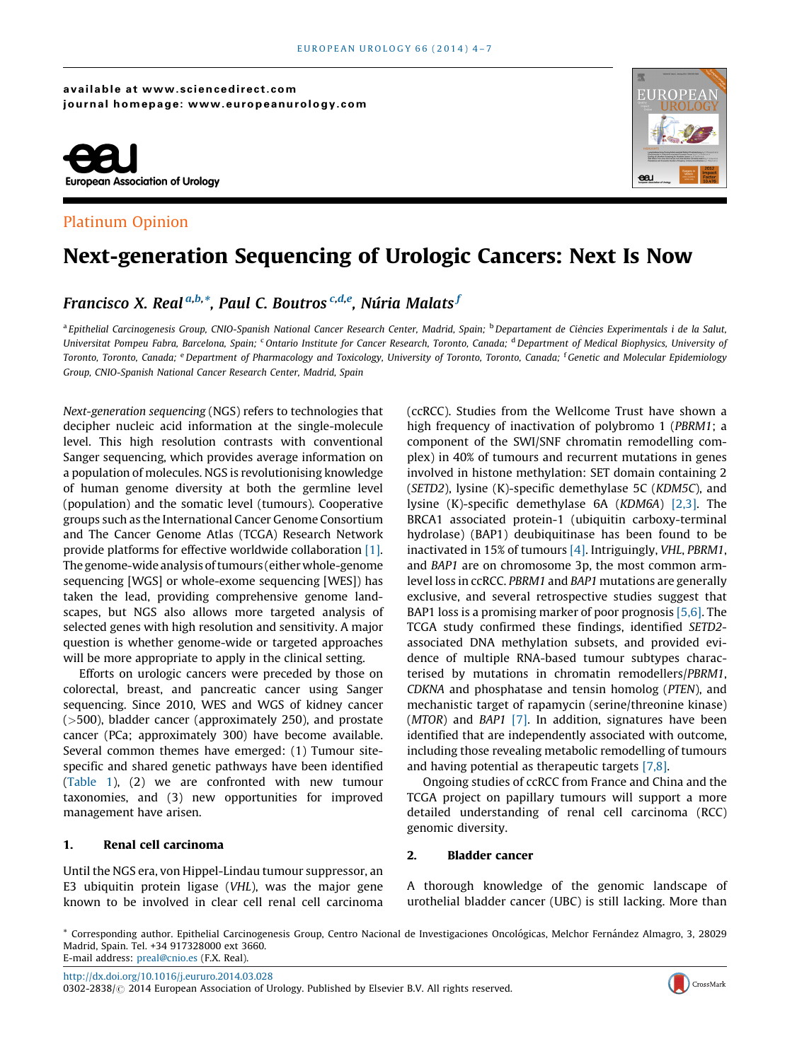#### available at www.sciencedirect.com journal homepage: www.europeanurology.com



# Platinum Opinion



# Next-generation Sequencing of Urologic Cancers: Next Is Now

# Francisco X. Real<sup>a,b,</sup>\*, Paul C. Boutros <sup>c,d,e</sup>, Núria Malats <sup>J</sup>

<sup>a</sup> Epithelial Carcinogenesis Group, CNIO-Spanish National Cancer Research Center, Madrid, Spain; <sup>b</sup> Departament de Ciències Experimentals i de la Salut, Universitat Pompeu Fabra, Barcelona, Spain: <sup>c</sup>Ontario Institute for Cancer Research, Toronto, Canada; <sup>d</sup> Department of Medical Biophysics, University of Toronto, Toronto, Canada; <sup>e</sup> Department of Pharmacology and Toxicology, University of Toronto, Toronto, Canada; <sup>f</sup> Genetic and Molecular Epidemiology Group, CNIO-Spanish National Cancer Research Center, Madrid, Spain

Next-generation sequencing (NGS) refers to technologies that decipher nucleic acid information at the single-molecule level. This high resolution contrasts with conventional Sanger sequencing, which provides average information on a population of molecules. NGS is revolutionising knowledge of human genome diversity at both the germline level (population) and the somatic level (tumours). Cooperative groups such as the International Cancer Genome Consortium and The Cancer Genome Atlas (TCGA) Research Network provide platforms for effective worldwide collaboration [\[1\]](#page-3-0). The genome-wide analysis of tumours (either whole-genome sequencing [WGS] or whole-exome sequencing [WES]) has taken the lead, providing comprehensive genome landscapes, but NGS also allows more targeted analysis of selected genes with high resolution and sensitivity. A major question is whether genome-wide or targeted approaches will be more appropriate to apply in the clinical setting.

Efforts on urologic cancers were preceded by those on colorectal, breast, and pancreatic cancer using Sanger sequencing. Since 2010, WES and WGS of kidney cancer (>500), bladder cancer (approximately 250), and prostate cancer (PCa; approximately 300) have become available. Several common themes have emerged: (1) Tumour sitespecific and shared genetic pathways have been identified ([Table 1](#page-1-0)), (2) we are confronted with new tumour taxonomies, and (3) new opportunities for improved management have arisen.

## 1. Renal cell carcinoma

Until the NGS era, von Hippel-Lindau tumour suppressor, an E3 ubiquitin protein ligase (VHL), was the major gene known to be involved in clear cell renal cell carcinoma

(ccRCC). Studies from the Wellcome Trust have shown a high frequency of inactivation of polybromo 1 (PBRM1; a component of the SWI/SNF chromatin remodelling complex) in 40% of tumours and recurrent mutations in genes involved in histone methylation: SET domain containing 2 (SETD2), lysine (K)-specific demethylase 5C (KDM5C), and lysine (K)-specific demethylase 6A (KDM6A) [\[2,3\].](#page-3-0) The BRCA1 associated protein-1 (ubiquitin carboxy-terminal hydrolase) (BAP1) deubiquitinase has been found to be inactivated in 15% of tumours [\[4\].](#page-3-0) Intriguingly, VHL, PBRM1, and BAP1 are on chromosome 3p, the most common armlevel loss in ccRCC. PBRM1 and BAP1 mutations are generally exclusive, and several retrospective studies suggest that BAP1 loss is a promising marker of poor prognosis [\[5,6\].](#page-3-0) The TCGA study confirmed these findings, identified SETD2 associated DNA methylation subsets, and provided evidence of multiple RNA-based tumour subtypes characterised by mutations in chromatin remodellers/PBRM1, CDKNA and phosphatase and tensin homolog (PTEN), and mechanistic target of rapamycin (serine/threonine kinase) (MTOR) and BAP1 [\[7\]](#page-3-0). In addition, signatures have been identified that are independently associated with outcome, including those revealing metabolic remodelling of tumours and having potential as therapeutic targets [\[7,8\].](#page-3-0)

Ongoing studies of ccRCC from France and China and the TCGA project on papillary tumours will support a more detailed understanding of renal cell carcinoma (RCC) genomic diversity.

#### 2. Bladder cancer

A thorough knowledge of the genomic landscape of urothelial bladder cancer (UBC) is still lacking. More than

\* Corresponding author. Epithelial Carcinogenesis Group, Centro Nacional de Investigaciones Oncológicas, Melchor Fernández Almagro, 3, 28029 Madrid, Spain. Tel. +34 917328000 ext 3660. E-mail address: [preal@cnio.es](mailto:preal@cnio.es) (F.X. Real).

<http://dx.doi.org/10.1016/j.eururo.2014.03.028>

0302-2838/ 2014 European Association of Urology. Published by Elsevier B.V. All rights reserved.

CrossMark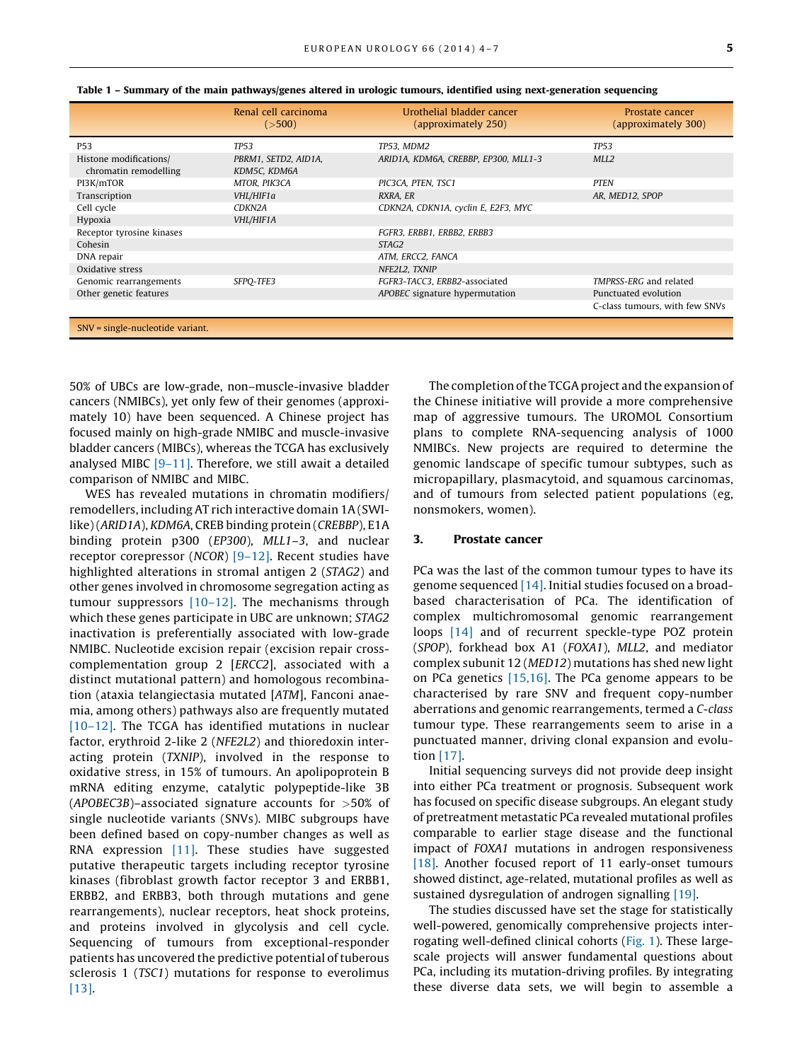|                                                 | Renal cell carcinoma<br>( >500)      | Urothelial bladder cancer<br>(approximately 250) | Prostate cancer<br>(approximately 300) |
|-------------------------------------------------|--------------------------------------|--------------------------------------------------|----------------------------------------|
| P <sub>53</sub>                                 | <b>TP53</b>                          | TP53, MDM2                                       | <b>TP53</b>                            |
| Histone modifications/<br>chromatin remodelling | PBRM1, SETD2, AID1A,<br>KDM5C, KDM6A | ARID1A, KDM6A, CREBBP, EP300, MLL1-3             | MLL <sub>2</sub>                       |
| PI3K/mTOR                                       | MTOR, PIK3CA                         | PIC3CA, PTEN, TSC1                               | <b>PTEN</b>                            |
| Transcription                                   | VHL/HIF1a                            | RXRA, ER                                         | AR, MED12, SPOP                        |
| Cell cycle                                      | CDKN2A                               | CDKN2A, CDKN1A, cyclin E, E2F3, MYC              |                                        |
| Hypoxia                                         | VHL/HIF1A                            |                                                  |                                        |
| Receptor tyrosine kinases                       |                                      | FGFR3, ERBB1, ERBB2, ERBB3                       |                                        |
| Cohesin                                         |                                      | STAG2                                            |                                        |
| DNA repair                                      |                                      | ATM, ERCC2, FANCA                                |                                        |
| Oxidative stress                                |                                      | NFE2L2, TXNIP                                    |                                        |
| Genomic rearrangements                          | SFPO-TFE3                            | FGFR3-TACC3, ERBB2-associated                    | TMPRSS-ERG and related                 |
| Other genetic features                          |                                      | APOBEC signature hypermutation                   | Punctuated evolution                   |
|                                                 |                                      |                                                  | C-class tumours, with few SNVs         |
| SNV = single-nucleotide variant.                |                                      |                                                  |                                        |

<span id="page-1-0"></span>

| Table 1 – Summary of the main pathways/genes altered in urologic tumours, identified using next-generation sequencing |  |  |  |  |  |  |
|-----------------------------------------------------------------------------------------------------------------------|--|--|--|--|--|--|
|-----------------------------------------------------------------------------------------------------------------------|--|--|--|--|--|--|

50% of UBCs are low-grade, non–muscle-invasive bladder cancers (NMIBCs), yet only few of their genomes (approximately 10) have been sequenced. A Chinese project has focused mainly on high-grade NMIBC and muscle-invasive bladder cancers (MIBCs), whereas the TCGA has exclusively analysed MIBC [\[9–11\]](#page-3-0). Therefore, we still await a detailed comparison of NMIBC and MIBC.

WES has revealed mutations in chromatin modifiers/ remodellers, including AT rich interactive domain 1A (SWIlike) (ARID1A), KDM6A, CREB binding protein (CREBBP), E1A binding protein p300 (EP300), MLL1–3, and nuclear receptor corepressor (NCOR) [\[9–12\].](#page-3-0) Recent studies have highlighted alterations in stromal antigen 2 (STAG2) and other genes involved in chromosome segregation acting as tumour suppressors [\[10–12\].](#page-3-0) The mechanisms through which these genes participate in UBC are unknown; STAG2 inactivation is preferentially associated with low-grade NMIBC. Nucleotide excision repair (excision repair crosscomplementation group 2 [ERCC2], associated with a distinct mutational pattern) and homologous recombination (ataxia telangiectasia mutated [ATM], Fanconi anaemia, among others) pathways also are frequently mutated [\[10–12\].](#page-3-0) The TCGA has identified mutations in nuclear factor, erythroid 2-like 2 (NFE2L2) and thioredoxin interacting protein (TXNIP), involved in the response to oxidative stress, in 15% of tumours. An apolipoprotein B mRNA editing enzyme, catalytic polypeptide-like 3B (APOBEC3B)–associated signature accounts for >50% of single nucleotide variants (SNVs). MIBC subgroups have been defined based on copy-number changes as well as RNA expression [\[11\].](#page-3-0) These studies have suggested putative therapeutic targets including receptor tyrosine kinases (fibroblast growth factor receptor 3 and ERBB1, ERBB2, and ERBB3, both through mutations and gene rearrangements), nuclear receptors, heat shock proteins, and proteins involved in glycolysis and cell cycle. Sequencing of tumours from exceptional-responder patients has uncovered the predictive potential of tuberous sclerosis 1 (TSC1) mutations for response to everolimus [\[13\].](#page-3-0)

The completion of the TCGA project and the expansion of the Chinese initiative will provide a more comprehensive map of aggressive tumours. The UROMOL Consortium plans to complete RNA-sequencing analysis of 1000 NMIBCs. New projects are required to determine the genomic landscape of specific tumour subtypes, such as micropapillary, plasmacytoid, and squamous carcinomas, and of tumours from selected patient populations (eg, nonsmokers, women).

#### 3. Prostate cancer

PCa was the last of the common tumour types to have its genome sequenced [\[14\]](#page-3-0). Initial studies focused on a broadbased characterisation of PCa. The identification of complex multichromosomal genomic rearrangement loops [\[14\]](#page-3-0) and of recurrent speckle-type POZ protein (SPOP), forkhead box A1 (FOXA1), MLL2, and mediator complex subunit 12 (MED12) mutations has shed new light on PCa genetics  $[15,16]$ . The PCa genome appears to be characterised by rare SNV and frequent copy-number aberrations and genomic rearrangements, termed a C-class tumour type. These rearrangements seem to arise in a punctuated manner, driving clonal expansion and evolution [\[17\]](#page-3-0).

Initial sequencing surveys did not provide deep insight into either PCa treatment or prognosis. Subsequent work has focused on specific disease subgroups. An elegant study of pretreatment metastatic PCa revealed mutational profiles comparable to earlier stage disease and the functional impact of FOXA1 mutations in androgen responsiveness [\[18\].](#page-3-0) Another focused report of 11 early-onset tumours showed distinct, age-related, mutational profiles as well as sustained dysregulation of androgen signalling [\[19\]](#page-3-0).

The studies discussed have set the stage for statistically well-powered, genomically comprehensive projects interrogating well-defined clinical cohorts [\(Fig. 1\)](#page-2-0). These largescale projects will answer fundamental questions about PCa, including its mutation-driving profiles. By integrating these diverse data sets, we will begin to assemble a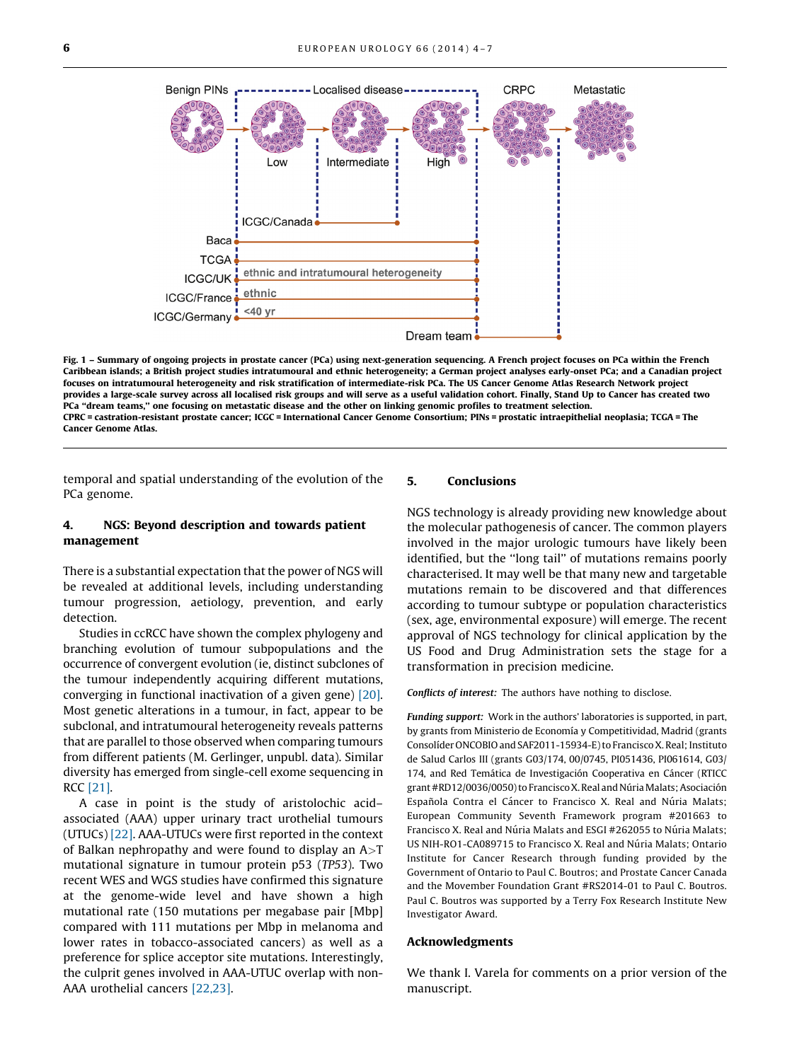<span id="page-2-0"></span>

Fig. 1 – Summary of ongoing projects in prostate cancer (PCa) using next-generation sequencing. A French project focuses on PCa within the French Caribbean islands; a British project studies intratumoural and ethnic heterogeneity; a German project analyses early-onset PCa; and a Canadian project focuses on intratumoural heterogeneity and risk stratification of intermediate-risk PCa. The US Cancer Genome Atlas Research Network project provides a large-scale survey across all localised risk groups and will serve as a useful validation cohort. Finally, Stand Up to Cancer has created two PCa ''dream teams,'' one focusing on metastatic disease and the other on linking genomic profiles to treatment selection. CPRC = castration-resistant prostate cancer; ICGC = International Cancer Genome Consortium; PINs = prostatic intraepithelial neoplasia; TCGA = The Cancer Genome Atlas.

temporal and spatial understanding of the evolution of the PCa genome.

## 4. NGS: Beyond description and towards patient management

There is a substantial expectation that the power of NGS will be revealed at additional levels, including understanding tumour progression, aetiology, prevention, and early detection.

Studies in ccRCC have shown the complex phylogeny and branching evolution of tumour subpopulations and the occurrence of convergent evolution (ie, distinct subclones of the tumour independently acquiring different mutations, converging in functional inactivation of a given gene) [\[20\]](#page-3-0). Most genetic alterations in a tumour, in fact, appear to be subclonal, and intratumoural heterogeneity reveals patterns that are parallel to those observed when comparing tumours from different patients (M. Gerlinger, unpubl. data). Similar diversity has emerged from single-cell exome sequencing in RCC [\[21\]](#page-3-0).

A case in point is the study of aristolochic acid– associated (AAA) upper urinary tract urothelial tumours (UTUCs) [\[22\]](#page-3-0). AAA-UTUCs were first reported in the context of Balkan nephropathy and were found to display an  $A > T$ mutational signature in tumour protein p53 (TP53). Two recent WES and WGS studies have confirmed this signature at the genome-wide level and have shown a high mutational rate (150 mutations per megabase pair [Mbp] compared with 111 mutations per Mbp in melanoma and lower rates in tobacco-associated cancers) as well as a preference for splice acceptor site mutations. Interestingly, the culprit genes involved in AAA-UTUC overlap with non-AAA urothelial cancers [\[22,23\]](#page-3-0).

#### 5. Conclusions

NGS technology is already providing new knowledge about the molecular pathogenesis of cancer. The common players involved in the major urologic tumours have likely been identified, but the ''long tail'' of mutations remains poorly characterised. It may well be that many new and targetable mutations remain to be discovered and that differences according to tumour subtype or population characteristics (sex, age, environmental exposure) will emerge. The recent approval of NGS technology for clinical application by the US Food and Drug Administration sets the stage for a transformation in precision medicine.

Conflicts of interest: The authors have nothing to disclose.

Funding support: Work in the authors' laboratories is supported, in part, by grants from Ministerio de Economía y Competitividad, Madrid (grants Consolíder ONCOBIO and SAF2011-15934-E) to Francisco X. Real; Instituto de Salud Carlos III (grants G03/174, 00/0745, PI051436, PI061614, G03/ 174, and Red Temática de Investigación Cooperativa en Cáncer (RTICC grant #RD12/0036/0050) to Francisco X. Real and Núria Malats; Asociación Española Contra el Cáncer to Francisco X. Real and Núria Malats; European Community Seventh Framework program #201663 to Francisco X. Real and Núria Malats and ESGI #262055 to Núria Malats; US NIH-RO1-CA089715 to Francisco X. Real and Núria Malats; Ontario Institute for Cancer Research through funding provided by the Government of Ontario to Paul C. Boutros; and Prostate Cancer Canada and the Movember Foundation Grant #RS2014-01 to Paul C. Boutros. Paul C. Boutros was supported by a Terry Fox Research Institute New Investigator Award.

#### Acknowledgments

We thank I. Varela for comments on a prior version of the manuscript.